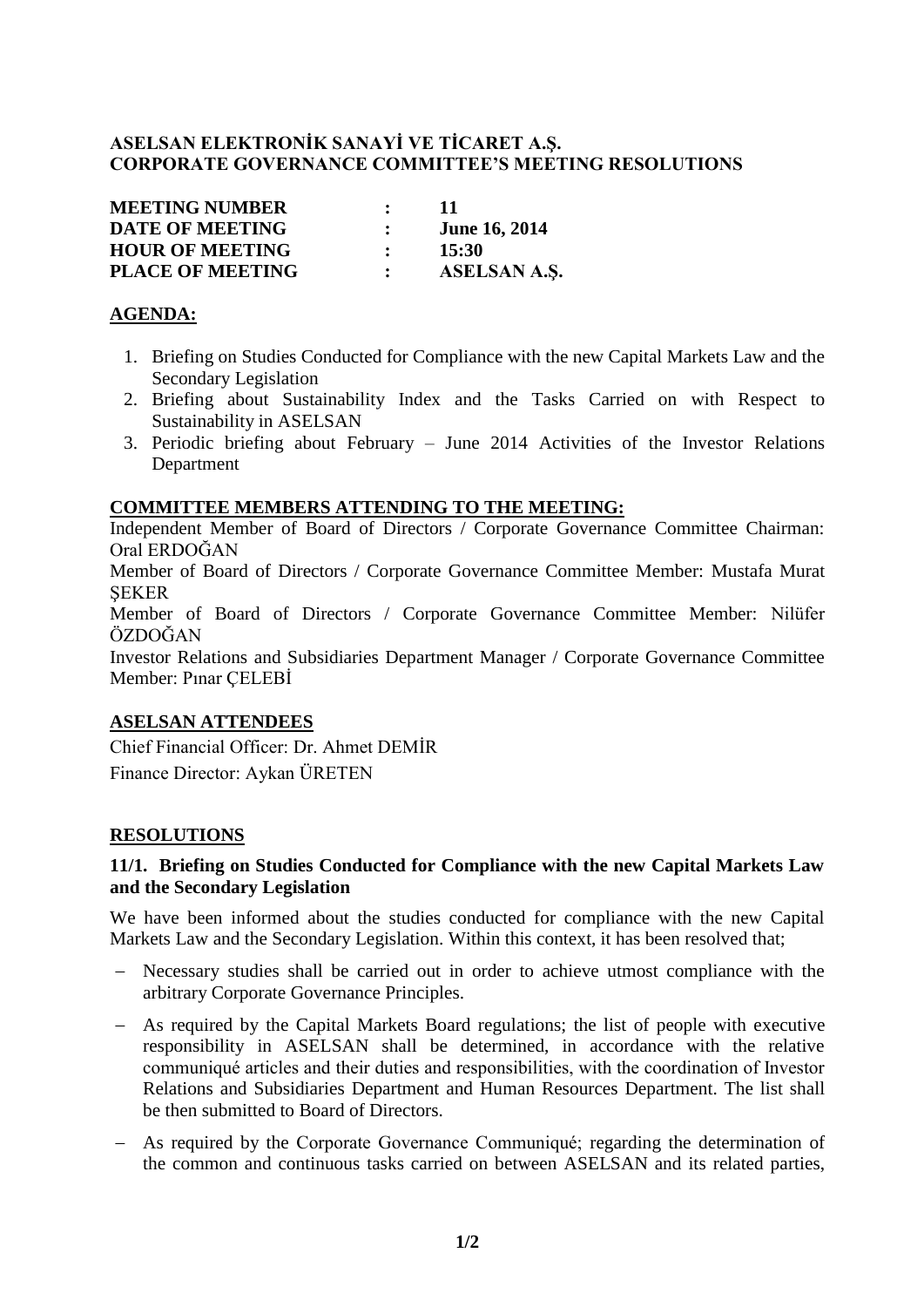# **ASELSAN ELEKTRONİK SANAYİ VE TİCARET A.Ş. CORPORATE GOVERNANCE COMMITTEE'S MEETING RESOLUTIONS**

| <b>MEETING NUMBER</b>   | $\mathbf{r}$ | -11                  |
|-------------------------|--------------|----------------------|
| <b>DATE OF MEETING</b>  |              | <b>June 16, 2014</b> |
| <b>HOUR OF MEETING</b>  |              | 15:30                |
| <b>PLACE OF MEETING</b> |              | ASELSAN A.S.         |

## **AGENDA:**

- 1. Briefing on Studies Conducted for Compliance with the new Capital Markets Law and the Secondary Legislation
- 2. Briefing about Sustainability Index and the Tasks Carried on with Respect to Sustainability in ASELSAN
- 3. Periodic briefing about February June 2014 Activities of the Investor Relations Department

### **COMMITTEE MEMBERS ATTENDING TO THE MEETING:**

Independent Member of Board of Directors / Corporate Governance Committee Chairman: Oral ERDOĞAN

Member of Board of Directors / Corporate Governance Committee Member: Mustafa Murat **SEKER** 

Member of Board of Directors / Corporate Governance Committee Member: Nilüfer ÖZDOĞAN

Investor Relations and Subsidiaries Department Manager / Corporate Governance Committee Member: Pınar ÇELEBİ

## **ASELSAN ATTENDEES**

Chief Financial Officer: Dr. Ahmet DEMİR Finance Director: Aykan ÜRETEN

## **RESOLUTIONS**

### **11/1. Briefing on Studies Conducted for Compliance with the new Capital Markets Law and the Secondary Legislation**

We have been informed about the studies conducted for compliance with the new Capital Markets Law and the Secondary Legislation. Within this context, it has been resolved that;

- Necessary studies shall be carried out in order to achieve utmost compliance with the arbitrary Corporate Governance Principles.
- As required by the Capital Markets Board regulations; the list of people with executive responsibility in ASELSAN shall be determined, in accordance with the relative communiqué articles and their duties and responsibilities, with the coordination of Investor Relations and Subsidiaries Department and Human Resources Department. The list shall be then submitted to Board of Directors.
- As required by the Corporate Governance Communiqué; regarding the determination of the common and continuous tasks carried on between ASELSAN and its related parties,